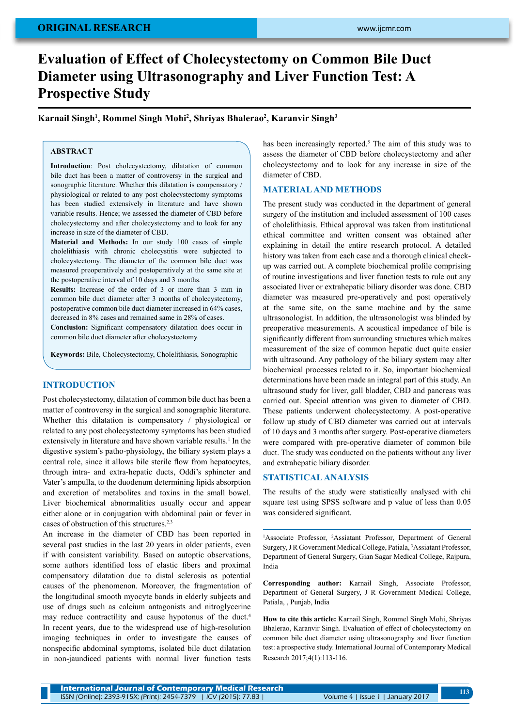# **Evaluation of Effect of Cholecystectomy on Common Bile Duct Diameter using Ultrasonography and Liver Function Test: A Prospective Study**

**Karnail Singh1 , Rommel Singh Mohi2 , Shriyas Bhalerao2 , Karanvir Singh3**

## **ABSTRACT**

**Introduction**: Post cholecystectomy, dilatation of common bile duct has been a matter of controversy in the surgical and sonographic literature. Whether this dilatation is compensatory / physiological or related to any post cholecystectomy symptoms has been studied extensively in literature and have shown variable results. Hence; we assessed the diameter of CBD before cholecystectomy and after cholecystectomy and to look for any increase in size of the diameter of CBD.

**Material and Methods:** In our study 100 cases of simple cholelithiasis with chronic cholecystitis were subjected to cholecystectomy. The diameter of the common bile duct was measured preoperatively and postoperatively at the same site at the postoperative interval of 10 days and 3 months.

**Results:** Increase of the order of 3 or more than 3 mm in common bile duct diameter after 3 months of cholecystectomy, postoperative common bile duct diameter increased in 64% cases, decreased in 8% cases and remained same in 28% of cases.

**Conclusion:** Significant compensatory dilatation does occur in common bile duct diameter after cholecystectomy.

**Keywords:** Bile, Cholecystectomy, Cholelithiasis, Sonographic

## **INTRODUCTION**

Post cholecystectomy, dilatation of common bile duct has been a matter of controversy in the surgical and sonographic literature. Whether this dilatation is compensatory / physiological or related to any post cholecystectomy symptoms has been studied extensively in literature and have shown variable results.<sup>1</sup> In the digestive system's patho-physiology, the biliary system plays a central role, since it allows bile sterile flow from hepatocytes, through intra- and extra-hepatic ducts, Oddi's sphincter and Vater's ampulla, to the duodenum determining lipids absorption and excretion of metabolites and toxins in the small bowel. Liver biochemical abnormalities usually occur and appear either alone or in conjugation with abdominal pain or fever in cases of obstruction of this structures.<sup>2,3</sup>

An increase in the diameter of CBD has been reported in several past studies in the last 20 years in older patients, even if with consistent variability. Based on autoptic observations, some authors identified loss of elastic fibers and proximal compensatory dilatation due to distal sclerosis as potential causes of the phenomenon. Moreover, the fragmentation of the longitudinal smooth myocyte bands in elderly subjects and use of drugs such as calcium antagonists and nitroglycerine may reduce contractility and cause hypotonus of the duct.<sup>4</sup> In recent years, due to the widespread use of high-resolution imaging techniques in order to investigate the causes of nonspecific abdominal symptoms, isolated bile duct dilatation in non-jaundiced patients with normal liver function tests

has been increasingly reported.<sup>5</sup> The aim of this study was to assess the diameter of CBD before cholecystectomy and after cholecystectomy and to look for any increase in size of the diameter of CBD.

#### **MATERIAL AND METHODS**

The present study was conducted in the department of general surgery of the institution and included assessment of 100 cases of cholelithiasis. Ethical approval was taken from institutional ethical committee and written consent was obtained after explaining in detail the entire research protocol. A detailed history was taken from each case and a thorough clinical checkup was carried out. A complete biochemical profile comprising of routine investigations and liver function tests to rule out any associated liver or extrahepatic biliary disorder was done. CBD diameter was measured pre-operatively and post operatively at the same site, on the same machine and by the same ultrasonologist. In addition, the ultrasonologist was blinded by preoperative measurements. A acoustical impedance of bile is significantly different from surrounding structures which makes measurement of the size of common hepatic duct quite easier with ultrasound. Any pathology of the biliary system may alter biochemical processes related to it. So, important biochemical determinations have been made an integral part of this study. An ultrasound study for liver, gall bladder, CBD and pancreas was carried out. Special attention was given to diameter of CBD. These patients underwent cholecystectomy. A post-operative follow up study of CBD diameter was carried out at intervals of 10 days and 3 months after surgery. Post-operative diameters were compared with pre-operative diameter of common bile duct. The study was conducted on the patients without any liver and extrahepatic biliary disorder.

#### **Statisticalanalysis**

The results of the study were statistically analysed with chi square test using SPSS software and p value of less than 0.05 was considered significant.

<sup>1</sup>Associate Professor, <sup>2</sup>Assiatant Professor, Department of General Surgery, J R Government Medical College, Patiala, 3 Assiatant Professor, Department of General Surgery, Gian Sagar Medical College, Rajpura, India

**Corresponding author:** Karnail Singh, Associate Professor, Department of General Surgery, J R Government Medical College, Patiala, , Punjab, India

**How to cite this article:** Karnail Singh, Rommel Singh Mohi, Shriyas Bhalerao, Karanvir Singh. Evaluation of effect of cholecystectomy on common bile duct diameter using ultrasonography and liver function test: a prospective study. International Journal of Contemporary Medical Research 2017;4(1):113-116.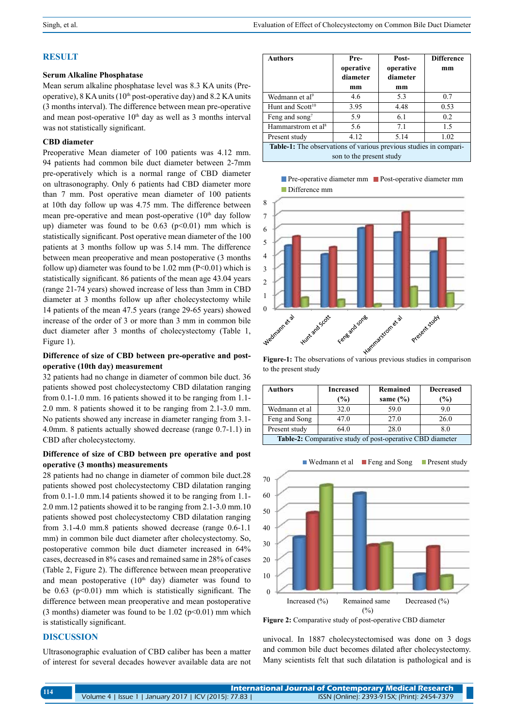#### **RESULT**

## **Serum Alkaline Phosphatase**

Mean serum alkaline phosphatase level was 8.3 KA units (Preoperative),  $8$  KA units ( $10<sup>th</sup>$  post-operative day) and  $8.2$  KA units (3 months interval). The difference between mean pre-operative and mean post-operative  $10<sup>th</sup>$  day as well as 3 months interval was not statistically significant.

#### **CBD diameter**

Preoperative Mean diameter of 100 patients was 4.12 mm. 94 patients had common bile duct diameter between 2-7mm pre-operatively which is a normal range of CBD diameter on ultrasonography. Only 6 patients had CBD diameter more than 7 mm. Post operative mean diameter of 100 patients at 10th day follow up was 4.75 mm. The difference between mean pre-operative and mean post-operative  $(10<sup>th</sup>$  day follow up) diameter was found to be  $0.63$  ( $p<0.01$ ) mm which is statistically significant. Post operative mean diameter of the 100 patients at 3 months follow up was 5.14 mm. The difference between mean preoperative and mean postoperative (3 months follow up) diameter was found to be  $1.02 \text{ mm}$  (P<0.01) which is statistically significant. 86 patients of the mean age 43.04 years (range 21-74 years) showed increase of less than 3mm in CBD diameter at 3 months follow up after cholecystectomy while 14 patients of the mean 47.5 years (range 29-65 years) showed increase of the order of 3 or more than 3 mm in common bile duct diameter after 3 months of cholecystectomy (Table 1, Figure 1).

### **Difference of size of CBD between pre-operative and postoperative (10th day) measurement**

32 patients had no change in diameter of common bile duct. 36 patients showed post cholecystectomy CBD dilatation ranging from 0.1-1.0 mm. 16 patients showed it to be ranging from 1.1- 2.0 mm. 8 patients showed it to be ranging from 2.1-3.0 mm. No patients showed any increase in diameter ranging from 3.1- 4.0mm. 8 patients actually showed decrease (range 0.7-1.1) in CBD after cholecystectomy.

#### **Difference of size of CBD between pre operative and post operative (3 months) measurements**

28 patients had no change in diameter of common bile duct.28 patients showed post cholecystectomy CBD dilatation ranging from 0.1-1.0 mm.14 patients showed it to be ranging from 1.1- 2.0 mm.12 patients showed it to be ranging from 2.1-3.0 mm.10 patients showed post cholecystectomy CBD dilatation ranging from 3.1-4.0 mm.8 patients showed decrease (range 0.6-1.1 mm) in common bile duct diameter after cholecystectomy. So, postoperative common bile duct diameter increased in 64% cases, decreased in 8% cases and remained same in 28% of cases (Table 2, Figure 2). The difference between mean preoperative and mean postoperative  $(10<sup>th</sup>$  day) diameter was found to be  $0.63$  ( $p<0.01$ ) mm which is statistically significant. The difference between mean preoperative and mean postoperative (3 months) diameter was found to be  $1.02$  (p<0.01) mm which is statistically significant.

## **DISCUSSION**

Ultrasonographic evaluation of CBD caliber has been a matter of interest for several decades however available data are not

| <b>Authors</b>                                                                                | Pre-<br>operative<br>diameter | Post-<br>operative<br>diameter | <b>Difference</b><br>mm |  |
|-----------------------------------------------------------------------------------------------|-------------------------------|--------------------------------|-------------------------|--|
|                                                                                               | mm                            | mm                             |                         |  |
| Wedmann et al <sup>9</sup>                                                                    | 4.6                           | 5.3                            | 0.7                     |  |
| Hunt and Scott <sup>10</sup>                                                                  | 3.95                          | 4.48                           | 0.53                    |  |
| Feng and song <sup>7</sup>                                                                    | 5.9                           | 6.1                            | 0.2                     |  |
| Hammarstrom et al <sup>8</sup>                                                                | 5.6                           | 7.1                            | 15                      |  |
| Present study                                                                                 | 4.12                          | 5.14                           | 1.02                    |  |
| Table-1: The observations of various previous studies in compari-<br>son to the present study |                               |                                |                         |  |

**Pre-operative diameter mm Post-operative diameter mm Difference mm** 



to the present study

| Authors                                                          | <b>Increased</b><br>(%) | Remained<br>same $(\% )$ | <b>Decreased</b><br>(%) |  |
|------------------------------------------------------------------|-------------------------|--------------------------|-------------------------|--|
| Wedmann et al                                                    | 32.0                    | 59.0                     | 9.0                     |  |
| Feng and Song                                                    | 47.0                    | 27.0                     | 26.0                    |  |
| Present study                                                    | 64.0                    | 28.0                     | 8.0                     |  |
| <b>Table-2:</b> Comparative study of post-operative CBD diameter |                         |                          |                         |  |



**Figure 2:** Comparative study of post-operative CBD diameter

univocal. In 1887 cholecystectomised was done on 3 dogs and common bile duct becomes dilated after cholecystectomy. Many scientists felt that such dilatation is pathological and is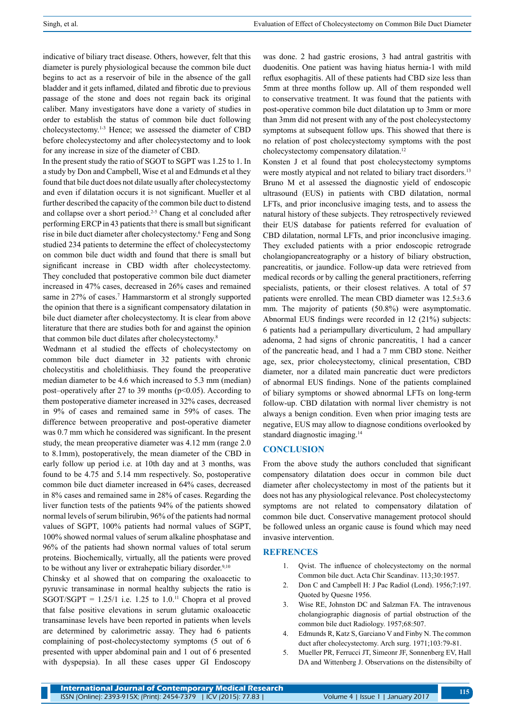indicative of biliary tract disease. Others, however, felt that this diameter is purely physiological because the common bile duct begins to act as a reservoir of bile in the absence of the gall bladder and it gets inflamed, dilated and fibrotic due to previous passage of the stone and does not regain back its original caliber. Many investigators have done a variety of studies in order to establish the status of common bile duct following cholecystectomy.1-3 Hence; we assessed the diameter of CBD before cholecystectomy and after cholecystectomy and to look for any increase in size of the diameter of CBD.

In the present study the ratio of SGOT to SGPT was 1.25 to 1. In a study by Don and Campbell, Wise et al and Edmunds et al they found that bile duct does not dilate usually after cholecystectomy and even if dilatation occurs it is not significant. Mueller et al further described the capacity of the common bile duct to distend and collapse over a short period.<sup>2-5</sup> Chang et al concluded after performing ERCP in 43 patients that there is small but significant rise in bile duct diameter after cholecystectomy.6 Feng and Song studied 234 patients to determine the effect of cholecystectomy on common bile duct width and found that there is small but significant increase in CBD width after cholecystectomy. They concluded that postoperative common bile duct diameter increased in 47% cases, decreased in 26% cases and remained same in 27% of cases.<sup>7</sup> Hammarstorm et al strongly supported the opinion that there is a significant compensatory dilatation in bile duct diameter after cholecystectomy. It is clear from above literature that there are studies both for and against the opinion that common bile duct dilates after cholecystectomy.8

Wedmann et al studied the effects of cholecystectomy on common bile duct diameter in 32 patients with chronic cholecystitis and cholelithiasis. They found the preoperative median diameter to be 4.6 which increased to 5.3 mm (median) post–operatively after 27 to 39 months ( $p<0.05$ ). According to them postoperative diameter increased in 32% cases, decreased in 9% of cases and remained same in 59% of cases. The difference between preoperative and post-operative diameter was 0.7 mm which he considered was significant. In the present study, the mean preoperative diameter was 4.12 mm (range 2.0 to 8.1mm), postoperatively, the mean diameter of the CBD in early follow up period i.e. at 10th day and at 3 months, was found to be 4.75 and 5.14 mm respectively. So, postoperative common bile duct diameter increased in 64% cases, decreased in 8% cases and remained same in 28% of cases. Regarding the liver function tests of the patients 94% of the patients showed normal levels of serum bilirubin, 96% of the patients had normal values of SGPT, 100% patients had normal values of SGPT, 100% showed normal values of serum alkaline phosphatase and 96% of the patients had shown normal values of total serum proteins. Biochemically, virtually, all the patients were proved to be without any liver or extrahepatic biliary disorder.<sup>9,10</sup>

Chinsky et al showed that on comparing the oxaloacetic to pyruvic transaminase in normal healthy subjects the ratio is SGOT/SGPT =  $1.25/1$  i.e. 1.25 to 1.0.<sup>11</sup> Chopra et al proved that false positive elevations in serum glutamic oxaloacetic transaminase levels have been reported in patients when levels are determined by calorimetric assay. They had 6 patients complaining of post-cholecystectomy symptoms (5 out of 6 presented with upper abdominal pain and 1 out of 6 presented with dyspepsia). In all these cases upper GI Endoscopy

was done. 2 had gastric erosions, 3 had antral gastritis with duodenitis. One patient was having hiatus hernia-1 with mild reflux esophagitis. All of these patients had CBD size less than 5mm at three months follow up. All of them responded well to conservative treatment. It was found that the patients with post-operative common bile duct dilatation up to 3mm or more than 3mm did not present with any of the post cholecystectomy symptoms at subsequent follow ups. This showed that there is no relation of post cholecystectomy symptoms with the post cholecystectomy compensatory dilatation.<sup>12</sup>

Konsten J et al found that post cholecystectomy symptoms were mostly atypical and not related to biliary tract disorders.<sup>13</sup> Bruno M et al assessed the diagnostic yield of endoscopic ultrasound (EUS) in patients with CBD dilatation, normal LFTs, and prior inconclusive imaging tests, and to assess the natural history of these subjects. They retrospectively reviewed their EUS database for patients referred for evaluation of CBD dilatation, normal LFTs, and prior inconclusive imaging. They excluded patients with a prior endoscopic retrograde cholangiopancreatography or a history of biliary obstruction, pancreatitis, or jaundice. Follow-up data were retrieved from medical records or by calling the general practitioners, referring specialists, patients, or their closest relatives. A total of 57 patients were enrolled. The mean CBD diameter was 12.5±3.6 mm. The majority of patients (50.8%) were asymptomatic. Abnormal EUS findings were recorded in 12 (21%) subjects: 6 patients had a periampullary diverticulum, 2 had ampullary adenoma, 2 had signs of chronic pancreatitis, 1 had a cancer of the pancreatic head, and 1 had a 7 mm CBD stone. Neither age, sex, prior cholecystectomy, clinical presentation, CBD diameter, nor a dilated main pancreatic duct were predictors of abnormal EUS findings. None of the patients complained of biliary symptoms or showed abnormal LFTs on long-term follow-up. CBD dilatation with normal liver chemistry is not always a benign condition. Even when prior imaging tests are negative, EUS may allow to diagnose conditions overlooked by standard diagnostic imaging.14

#### **CONCLUSION**

From the above study the authors concluded that significant compensatory dilatation does occur in common bile duct diameter after cholecystectomy in most of the patients but it does not has any physiological relevance. Post cholecystectomy symptoms are not related to compensatory dilatation of common bile duct. Conservative management protocol should be followed unless an organic cause is found which may need invasive intervention.

## **REFRENCES**

- 1. Qvist. The influence of cholecystectomy on the normal Common bile duct. Acta Chir Scandinav. 113;30:1957.
- 2. Don C and Campbell H: J Pac Radiol (Lond). 1956;7:197. Quoted by Quesne 1956.
- 3. Wise RE, Johnston DC and Salzman FA. The intravenous cholangiographic diagnosis of partial obstruction of the common bile duct Radiology. 1957;68:507.
- 4. Edmunds R, Katz S, Garciano V and Finby N. The common duct after cholecystectomy. Arch surg. 1971;103:79-81.
- 5. Mueller PR, Ferrucci JT, Simeonr JF, Sonnenberg EV, Hall DA and Wittenberg J. Observations on the distensibilty of